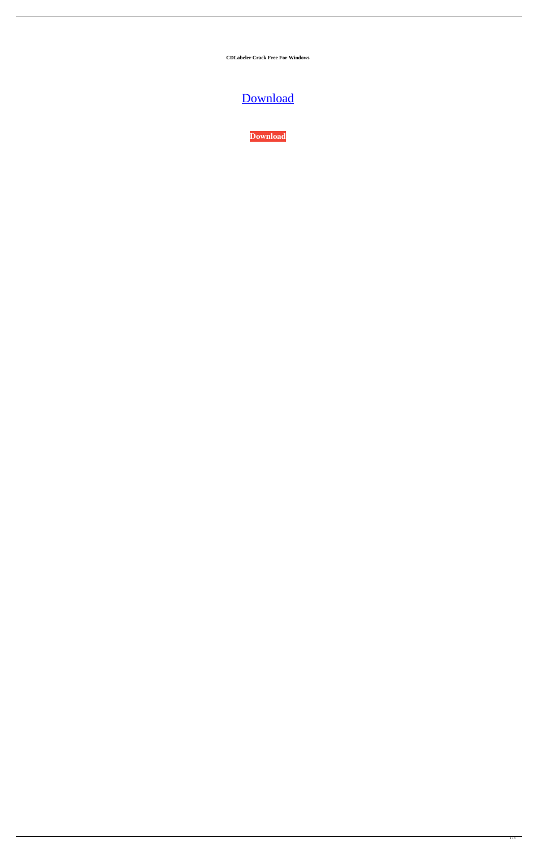**CDLabeler Crack Free For Windows**

# [Download](http://evacdir.com/comebacks/cancerians/ZG93bmxvYWR8Uno1TldFMU9YeDhNVFkxTkRVeU1qRXhNSHg4TWpVM05IeDhLRTBwSUhKbFlXUXRZbXh2WnlCYlJtRnpkQ0JIUlU1ZA/Q0RMYWJlbGVyQ0R.creaftsbury?seller=neos=)

**[Download](http://evacdir.com/comebacks/cancerians/ZG93bmxvYWR8Uno1TldFMU9YeDhNVFkxTkRVeU1qRXhNSHg4TWpVM05IeDhLRTBwSUhKbFlXUXRZbXh2WnlCYlJtRnpkQ0JIUlU1ZA/Q0RMYWJlbGVyQ0R.creaftsbury?seller=neos=)**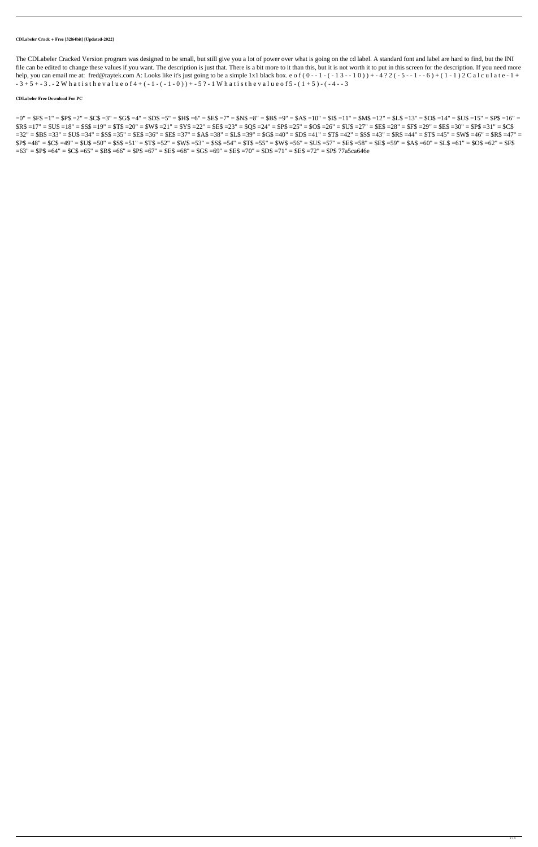### **CDLabeler Crack + Free [32|64bit] [Updated-2022]**

The CDLabeler Cracked Version program was designed to be small, but still give you a lot of power over what is going on the cd label. A standard font and label are hard to find, but the INI file can be edited to change these values if you want. The description is just that. There is a bit more to it than this, but it is not worth it to put in this screen for the description. If you need more help, you can email me at: fred@raytek.com A: Looks like it's just going to be a simple 1x1 black box. e o f (0 - - 1 - ( - 1 3 - - 1 0 )) + - 4 ? 2 ( - 5 - - 1 - - 6) + (1 - 1) 2 C a l c u l a t e - 1 +  $-3+5+ -3$  .  $-2$  W h a t i s t h e v a l u e o f 4 + ( - 1 - ( - 1 - 0 ) ) + - 5 ? - 1 W h a t i s t h e v a l u e o f 5 - (1+5) - (-4 - -3

## **CDLabeler Free Download For PC**

 $=0$ " = \$F\$ =1" = \$P\$ =2" = \$C\$ =3" = \$G\$ =4" = \$D\$ =5" = \$H\$ =6" = \$E\$ =7" = \$N\$ =8" = \$B\$ =9" = \$A\$ =10" = \$I\$ =11" = \$M\$ =12" = \$L\$ =13" = \$O\$ =14" = \$U\$ =15" = \$P\$ =16" =  $R$ = 17" = $US = 18" = $SS = 19" = $TS = 20" = $WS = 21" = $YS = 22" = $ES = 23" = $QS = 24" = $PS = 25" = $OS = 26" = $US = 27" = $ES = 28" = $FS = 29" = $ES = 30" = $PS = 31" = $CS$  $=32"$  = \$B\$  $=33"$  = \$U\$  $=34"$  = \$S\$  $=35"$  = \$E\$  $=36"$  = \$E\$  $=37"$  = \$A\$  $=38"$  = \$L\$  $=39"$  = \$G\$  $=40"$  = \$D\$  $=41"$  = \$T\$  $=42"$  = \$R\$  $=43"$  = \$R\$  $=44"$  = \$T\$  $=45"$  = \$W\$  $=46"$  = \$R\$  $=47"$  =  $$PS =48" = $CS =49" = $US =50" = $SS = 51" = $TS = 52" = $WS = 53" = $SS = 54" = $TS = 55" = $WS = 56" = $US = 57" = $ES = 58" = $ES = 59" = $AS = 60" = $LS = 61" = $OS = 62" = $FS = 55" = $S = 58" = $S = 58" = $S = 58" = $S = 58" = $S = 58" = $S = 58" = $S = 58" = $S = 58" = $S = 58" = $S = 58" = $S = 58" = $S = 58"$  $=63"$  = \$P\$ =64" = \$C\$ =65" = \$B\$ =66" = \$P\$ =67" = \$E\$ =68" = \$G\$ =69" = \$E\$ =70" = \$D\$ =71" = \$E\$ =72" = \$P\$ 77a5ca646e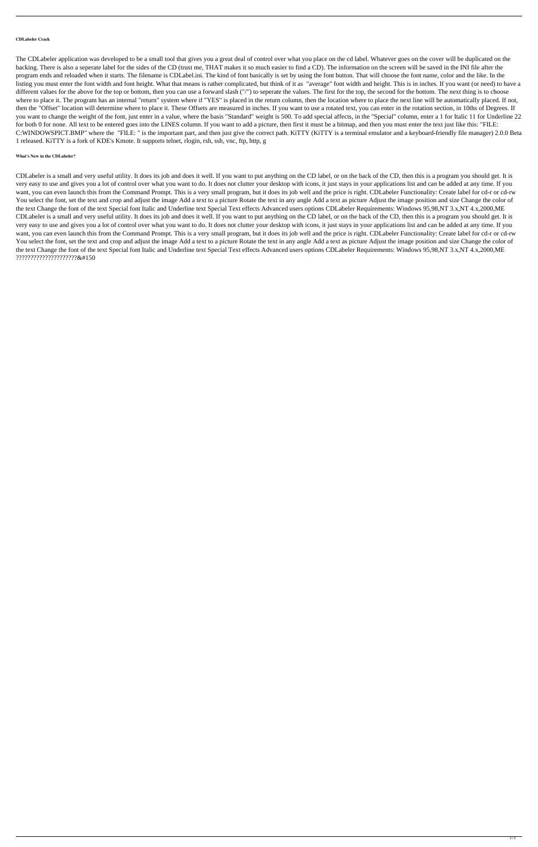### **CDLabeler Crack**

The CDLabeler application was developed to be a small tool that gives you a great deal of control over what you place on the cd label. Whatever goes on the cover will be duplicated on the backing. There is also a seperate label for the sides of the CD (trust me, THAT makes it so much easier to find a CD). The information on the screen will be saved in the INI file after the program ends and reloaded when it starts. The filename is CDLabel.ini. The kind of font basically is set by using the font button. That will choose the font name, color and the like. In the listing you must enter the font width and font height. What that means is rather complicated, but think of it as "average" font width and height. This is in inches. If you want (or need) to have a different values for the above for the top or bottom, then you can use a forward slash ("/") to seperate the values. The first for the top, the second for the bottom. The next thing is to choose where to place it. The program has an internal "return" system where if "YES" is placed in the return column, then the location where to place the next line will be automatically placed. If not, then the "Offset" location will determine where to place it. These Offsets are measured in inches. If you want to use a rotated text, you can enter in the rotation section, in 10ths of Degrees. If you want to change the weight of the font, just enter in a value, where the basis "Standard" weight is 500. To add special affects, in the "Special" column, enter a 1 for Italic 11 for Underline 22 for both 0 for none. All text to be entered goes into the LINES column. If you want to add a picture, then first it must be a bitmap, and then you must enter the text just like this: "FILE: C:WINDOWSPICT.BMP" where the "FILE: " is the important part, and then just give the correct path. KiTTY (KiTTY is a terminal emulator and a keyboard-friendly file manager) 2.0.0 Beta 1 released. KiTTY is a fork of KDE's Kmote. It supports telnet, rlogin, rsh, ssh, vnc, ftp, http, g

CDLabeler is a small and very useful utility. It does its job and does it well. If you want to put anything on the CD label, or on the back of the CD, then this is a program you should get. It is very easy to use and gives you a lot of control over what you want to do. It does not clutter your desktop with icons, it just stays in your applications list and can be added at any time. If you want, you can even launch this from the Command Prompt. This is a very small program, but it does its job well and the price is right. CDLabeler Functionality: Create label for cd-r or cd-rw You select the font, set the text and crop and adjust the image Add a text to a picture Rotate the text in any angle Add a text as picture Adjust the image position and size Change the color of the text Change the font of the text Special font Italic and Underline text Special Text effects Advanced users options CDLabeler Requirements: Windows 95,98,NT 3.x,NT 4.x,2000,ME CDLabeler is a small and very useful utility. It does its job and does it well. If you want to put anything on the CD label, or on the back of the CD, then this is a program you should get. It is very easy to use and gives you a lot of control over what you want to do. It does not clutter your desktop with icons, it just stays in your applications list and can be added at any time. If you want, you can even launch this from the Command Prompt. This is a very small program, but it does its job well and the price is right. CDLabeler Functionality: Create label for cd-r or cd-rw You select the font, set the text and crop and adjust the image Add a text to a picture Rotate the text in any angle Add a text as picture Adjust the image position and size Change the color of the text Change the font of the text Special font Italic and Underline text Special Text effects Advanced users options CDLabeler Requirements: Windows 95,98,NT 3.x,NT 4.x,2000,ME ??????????????????????&#150

## **What's New in the CDLabeler?**